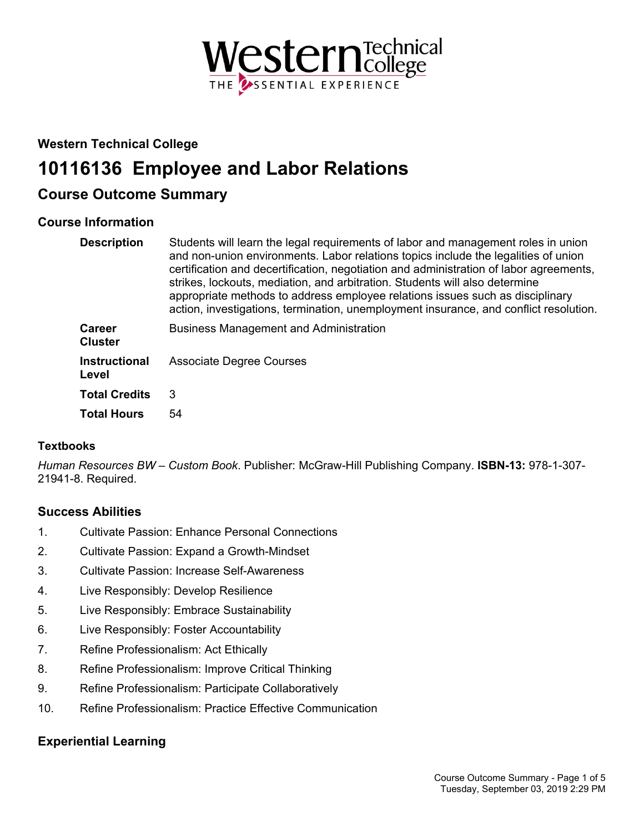

# **Western Technical College**

# **10116136 Employee and Labor Relations**

# **Course Outcome Summary**

# **Course Information**

| <b>Description</b>            | Students will learn the legal requirements of labor and management roles in union<br>and non-union environments. Labor relations topics include the legalities of union<br>certification and decertification, negotiation and administration of labor agreements,<br>strikes, lockouts, mediation, and arbitration. Students will also determine<br>appropriate methods to address employee relations issues such as disciplinary<br>action, investigations, termination, unemployment insurance, and conflict resolution. |
|-------------------------------|----------------------------------------------------------------------------------------------------------------------------------------------------------------------------------------------------------------------------------------------------------------------------------------------------------------------------------------------------------------------------------------------------------------------------------------------------------------------------------------------------------------------------|
| <b>Career</b><br>Cluster      | <b>Business Management and Administration</b>                                                                                                                                                                                                                                                                                                                                                                                                                                                                              |
| <b>Instructional</b><br>Level | <b>Associate Degree Courses</b>                                                                                                                                                                                                                                                                                                                                                                                                                                                                                            |
| <b>Total Credits</b>          | 3                                                                                                                                                                                                                                                                                                                                                                                                                                                                                                                          |
| <b>Total Hours</b>            | 54                                                                                                                                                                                                                                                                                                                                                                                                                                                                                                                         |

# **Textbooks**

*Human Resources BW – Custom Book*. Publisher: McGraw-Hill Publishing Company. **ISBN-13:** 978-1-307- 21941-8. Required.

# **Success Abilities**

- 1. Cultivate Passion: Enhance Personal Connections
- 2. Cultivate Passion: Expand a Growth-Mindset
- 3. Cultivate Passion: Increase Self-Awareness
- 4. Live Responsibly: Develop Resilience
- 5. Live Responsibly: Embrace Sustainability
- 6. Live Responsibly: Foster Accountability
- 7. Refine Professionalism: Act Ethically
- 8. Refine Professionalism: Improve Critical Thinking
- 9. Refine Professionalism: Participate Collaboratively
- 10. Refine Professionalism: Practice Effective Communication

# **Experiential Learning**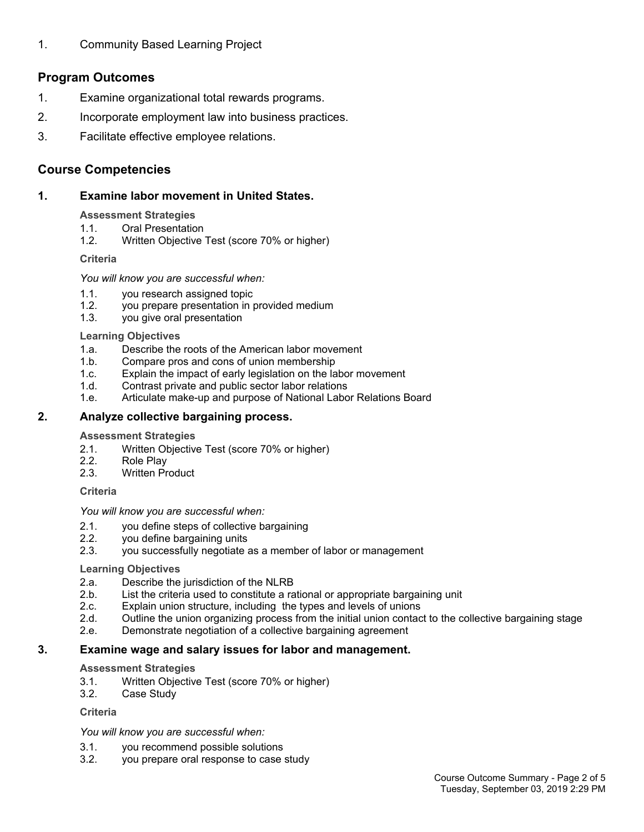#### 1. Community Based Learning Project

### **Program Outcomes**

- 1. Examine organizational total rewards programs.
- 2. Incorporate employment law into business practices.
- 3. Facilitate effective employee relations.

#### **Course Competencies**

#### **1. Examine labor movement in United States.**

#### **Assessment Strategies**

- 1.1. Oral Presentation
- 1.2. Written Objective Test (score 70% or higher)

#### **Criteria**

*You will know you are successful when:*

- 1.1. you research assigned topic
- 1.2. you prepare presentation in provided medium
- 1.3. you give oral presentation

#### **Learning Objectives**

- 1.a. Describe the roots of the American labor movement
- 1.b. Compare pros and cons of union membership
- 1.c. Explain the impact of early legislation on the labor movement
- 1.d. Contrast private and public sector labor relations
- 1.e. Articulate make-up and purpose of National Labor Relations Board

#### **2. Analyze collective bargaining process.**

#### **Assessment Strategies**

- 2.1. Written Objective Test (score 70% or higher)
- 2.2. Role Play
- 2.3. Written Product

#### **Criteria**

#### *You will know you are successful when:*

- 2.1. you define steps of collective bargaining
- 2.2. you define bargaining units
- 2.3. you successfully negotiate as a member of labor or management

#### **Learning Objectives**

- 2.a. Describe the jurisdiction of the NLRB
- 2.b. List the criteria used to constitute a rational or appropriate bargaining unit 2.c. Explain union structure, including the types and levels of unions
- Explain union structure, including the types and levels of unions
- 2.d. Outline the union organizing process from the initial union contact to the collective bargaining stage
- 2.e. Demonstrate negotiation of a collective bargaining agreement

#### **3. Examine wage and salary issues for labor and management.**

#### **Assessment Strategies**

- 3.1. Written Objective Test (score 70% or higher)
- 3.2. Case Study

#### **Criteria**

#### *You will know you are successful when:*

- 3.1. you recommend possible solutions<br>3.2. vou prepare oral response to case
- you prepare oral response to case study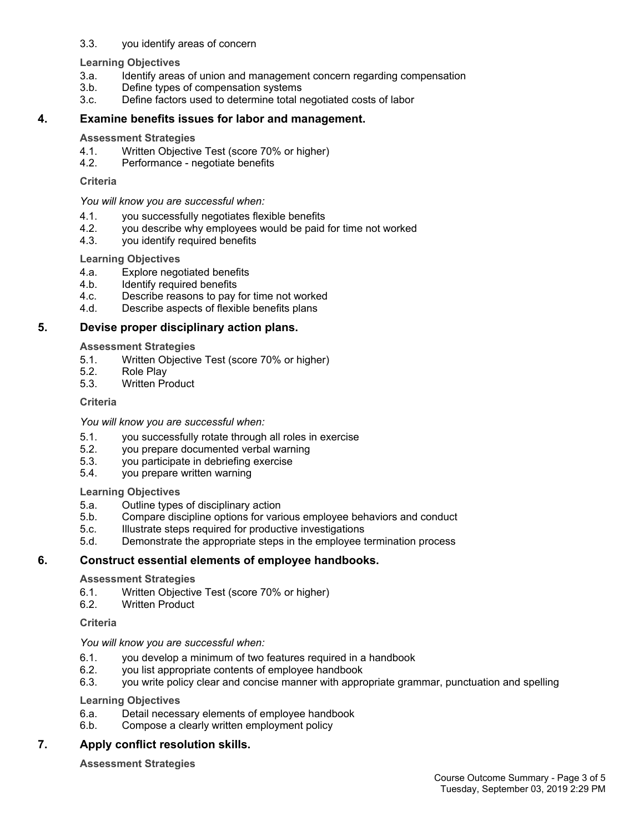#### 3.3. you identify areas of concern

#### **Learning Objectives**

- 3.a. Identify areas of union and management concern regarding compensation
- 3.b. Define types of compensation systems
- 3.c. Define factors used to determine total negotiated costs of labor

#### **4. Examine benefits issues for labor and management.**

#### **Assessment Strategies**

- 4.1. Written Objective Test (score 70% or higher)
- 4.2. Performance negotiate benefits

#### **Criteria**

*You will know you are successful when:*

- 4.1. you successfully negotiates flexible benefits
- 4.2. you describe why employees would be paid for time not worked
- 4.3. you identify required benefits

#### **Learning Objectives**

- 4.a. Explore negotiated benefits
- 4.b. Identify required benefits
- 4.c. Describe reasons to pay for time not worked
- 4.d. Describe aspects of flexible benefits plans

#### **5. Devise proper disciplinary action plans.**

#### **Assessment Strategies**

- 5.1. Written Objective Test (score 70% or higher)
- 5.2. Role Play
- 5.3. Written Product

#### **Criteria**

#### *You will know you are successful when:*

- 5.1. you successfully rotate through all roles in exercise
- 5.2. you prepare documented verbal warning
- 5.3. you participate in debriefing exercise
- 5.4. you prepare written warning

#### **Learning Objectives**

- 5.a. Outline types of disciplinary action
- 5.b. Compare discipline options for various employee behaviors and conduct
- 5.c. Illustrate steps required for productive investigations
- 5.d. Demonstrate the appropriate steps in the employee termination process

#### **6. Construct essential elements of employee handbooks.**

#### **Assessment Strategies**

- 6.1. Written Objective Test (score 70% or higher)
- 6.2. Written Product

#### **Criteria**

#### *You will know you are successful when:*

- 6.1. you develop a minimum of two features required in a handbook<br>6.2. vou list appropriate contents of employee handbook
- you list appropriate contents of employee handbook
- 6.3. you write policy clear and concise manner with appropriate grammar, punctuation and spelling

#### **Learning Objectives**

- 6.a. Detail necessary elements of employee handbook
- 6.b. Compose a clearly written employment policy

#### **7. Apply conflict resolution skills.**

#### **Assessment Strategies**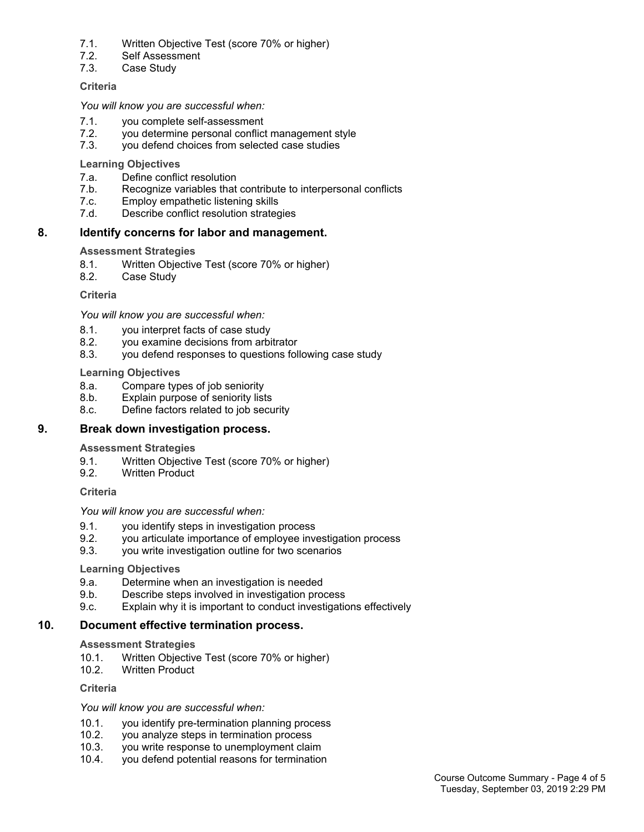- 7.1. Written Objective Test (score 70% or higher)
- 7.2. Self Assessment
- 7.3. Case Study

#### **Criteria**

#### *You will know you are successful when:*

- 7.1. you complete self-assessment
- 7.2. you determine personal conflict management style
- 7.3. you defend choices from selected case studies

#### **Learning Objectives**

- 7.a. Define conflict resolution
- 7.b. Recognize variables that contribute to interpersonal conflicts
- 7.c. Employ empathetic listening skills
- 7.d. Describe conflict resolution strategies

#### **8. Identify concerns for labor and management.**

#### **Assessment Strategies**

- 8.1. Written Objective Test (score 70% or higher)<br>8.2. Case Study
- Case Study

#### **Criteria**

*You will know you are successful when:*

- 8.1. you interpret facts of case study<br>8.2. vou examine decisions from arbi
- you examine decisions from arbitrator
- 8.3. you defend responses to questions following case study

#### **Learning Objectives**

- 8.a. Compare types of job seniority
- 8.b. Explain purpose of seniority lists
- 8.c. Define factors related to job security

#### **9. Break down investigation process.**

**Assessment Strategies**

- 9.1. Written Objective Test (score 70% or higher)
- 9.2. Written Product

#### **Criteria**

*You will know you are successful when:*

- 9.1. you identify steps in investigation process
- 9.2. you articulate importance of employee investigation process
- 9.3. you write investigation outline for two scenarios

#### **Learning Objectives**

- 9.a. Determine when an investigation is needed
- 9.b. Describe steps involved in investigation process
- 9.c. Explain why it is important to conduct investigations effectively

#### **10. Document effective termination process.**

#### **Assessment Strategies**

- 10.1. Written Objective Test (score 70% or higher)<br>10.2. Written Product
- **Written Product**

#### **Criteria**

#### *You will know you are successful when:*

- 10.1. you identify pre-termination planning process
- 10.2. you analyze steps in termination process
- 10.3. you write response to unemployment claim
- 10.4. you defend potential reasons for termination